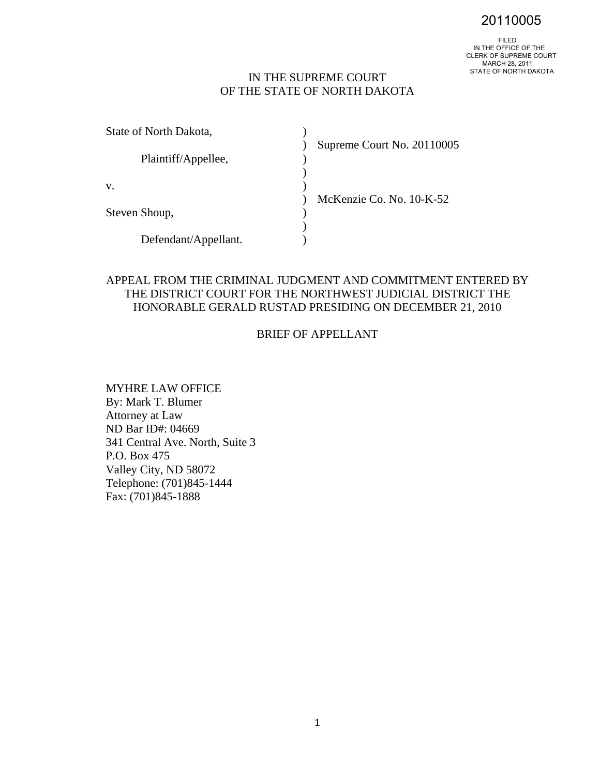20110005

## IN THE SUPREME COURT OF THE STATE OF NORTH DAKOTA

| State of North Dakota, |                            |
|------------------------|----------------------------|
| Plaintiff/Appellee,    | Supreme Court No. 20110005 |
| V.                     | McKenzie Co. No. 10-K-52   |
| Steven Shoup,          |                            |
| Defendant/Appellant.   |                            |

## APPEAL FROM THE CRIMINAL JUDGMENT AND COMMITMENT ENTERED BY THE DISTRICT COURT FOR THE NORTHWEST JUDICIAL DISTRICT THE HONORABLE GERALD RUSTAD PRESIDING ON DECEMBER 21, 2010

## BRIEF OF APPELLANT

MYHRE LAW OFFICE By: Mark T. Blumer Attorney at Law ND Bar ID#: 04669 341 Central Ave. North, Suite 3 P.O. Box 475 Valley City, ND 58072 Telephone: (701)845-1444 Fax: (701)845-1888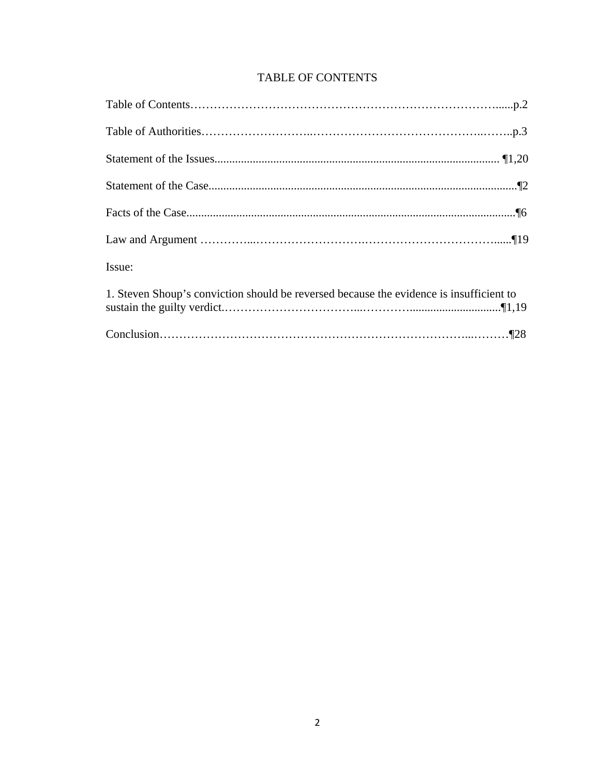# TABLE OF CONTENTS

| Issue:                                                                                  |  |
|-----------------------------------------------------------------------------------------|--|
| 1. Steven Shoup's conviction should be reversed because the evidence is insufficient to |  |
|                                                                                         |  |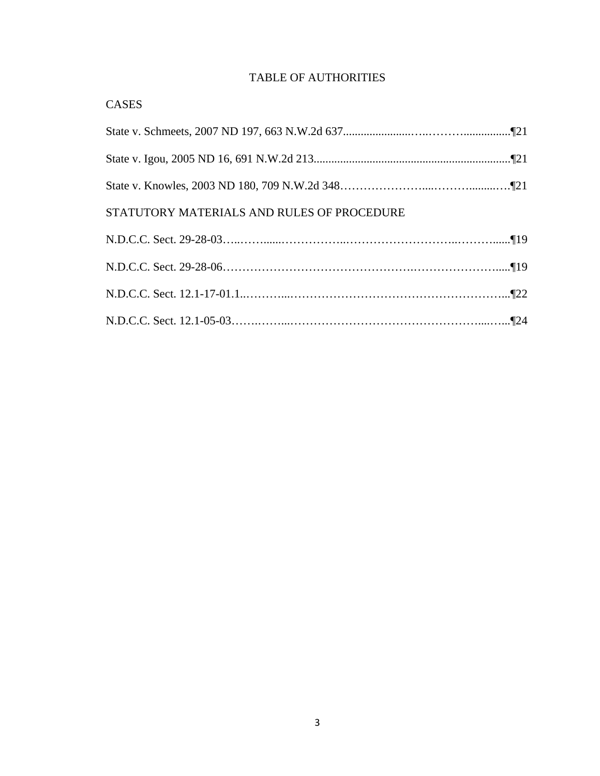## TABLE OF AUTHORITIES

| <b>CASES</b>                               |
|--------------------------------------------|
|                                            |
|                                            |
|                                            |
| STATUTORY MATERIALS AND RULES OF PROCEDURE |
|                                            |
|                                            |
|                                            |
|                                            |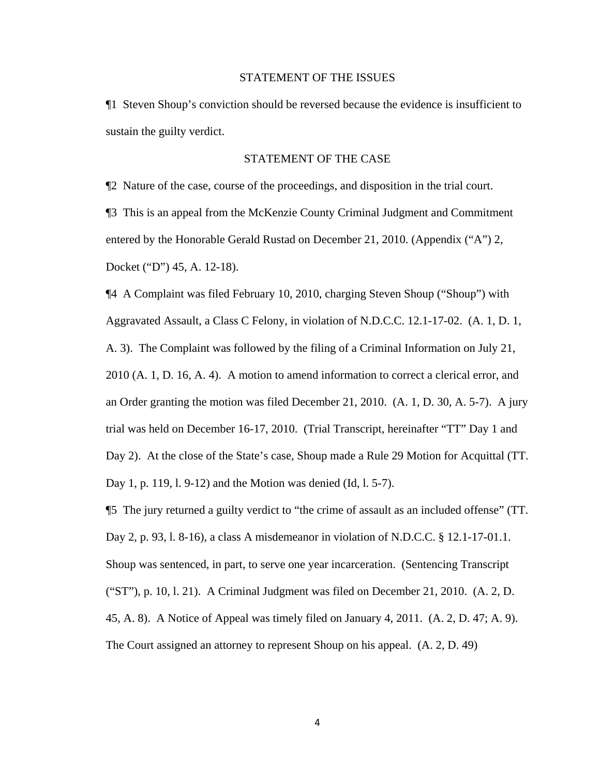#### STATEMENT OF THE ISSUES

¶1 Steven Shoup's conviction should be reversed because the evidence is insufficient to sustain the guilty verdict.

### STATEMENT OF THE CASE

¶2 Nature of the case, course of the proceedings, and disposition in the trial court. ¶3 This is an appeal from the McKenzie County Criminal Judgment and Commitment entered by the Honorable Gerald Rustad on December 21, 2010. (Appendix ("A") 2, Docket ("D") 45, A. 12-18).

¶4 A Complaint was filed February 10, 2010, charging Steven Shoup ("Shoup") with Aggravated Assault, a Class C Felony, in violation of N.D.C.C. 12.1-17-02. (A. 1, D. 1, A. 3). The Complaint was followed by the filing of a Criminal Information on July 21, 2010 (A. 1, D. 16, A. 4). A motion to amend information to correct a clerical error, and an Order granting the motion was filed December 21, 2010. (A. 1, D. 30, A. 5-7). A jury trial was held on December 16-17, 2010. (Trial Transcript, hereinafter "TT" Day 1 and Day 2). At the close of the State's case, Shoup made a Rule 29 Motion for Acquittal (TT. Day 1, p. 119, l. 9-12) and the Motion was denied (Id, l. 5-7).

¶5 The jury returned a guilty verdict to "the crime of assault as an included offense" (TT. Day 2, p. 93, l. 8-16), a class A misdemeanor in violation of N.D.C.C. § 12.1-17-01.1. Shoup was sentenced, in part, to serve one year incarceration. (Sentencing Transcript ("ST"), p. 10, l. 21). A Criminal Judgment was filed on December 21, 2010. (A. 2, D. 45, A. 8). A Notice of Appeal was timely filed on January 4, 2011. (A. 2, D. 47; A. 9). The Court assigned an attorney to represent Shoup on his appeal. (A. 2, D. 49)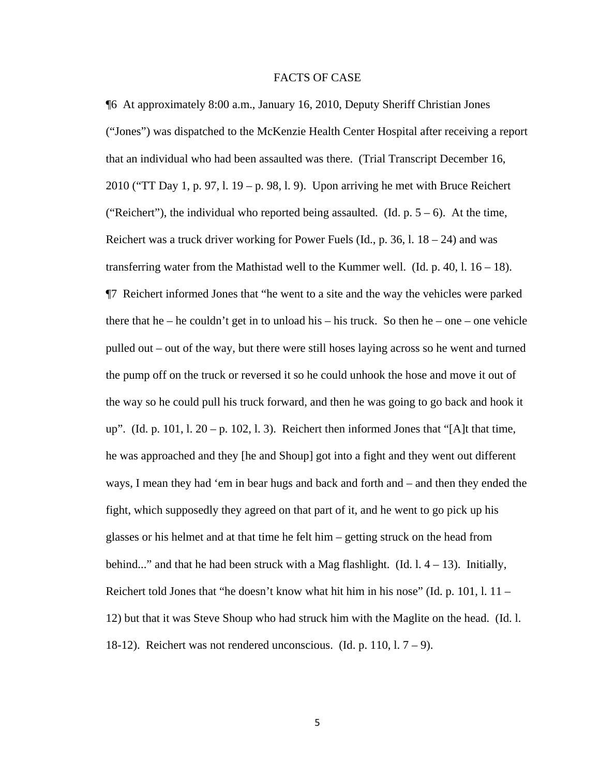### FACTS OF CASE

¶6 At approximately 8:00 a.m., January 16, 2010, Deputy Sheriff Christian Jones ("Jones") was dispatched to the McKenzie Health Center Hospital after receiving a report that an individual who had been assaulted was there. (Trial Transcript December 16, 2010 ("TT Day 1, p. 97, l. 19 – p. 98, l. 9). Upon arriving he met with Bruce Reichert ("Reichert"), the individual who reported being assaulted. (Id.  $p. 5 - 6$ ). At the time, Reichert was a truck driver working for Power Fuels (Id., p. 36, 1,  $18 - 24$ ) and was transferring water from the Mathistad well to the Kummer well. (Id.  $p. 40, 1.16 - 18$ ). ¶7 Reichert informed Jones that "he went to a site and the way the vehicles were parked there that he – he couldn't get in to unload his – his truck. So then he – one – one vehicle pulled out – out of the way, but there were still hoses laying across so he went and turned the pump off on the truck or reversed it so he could unhook the hose and move it out of the way so he could pull his truck forward, and then he was going to go back and hook it up". (Id. p. 101, l.  $20 - p$ . 102, l. 3). Reichert then informed Jones that "[A]t that time, he was approached and they [he and Shoup] got into a fight and they went out different ways, I mean they had 'em in bear hugs and back and forth and – and then they ended the fight, which supposedly they agreed on that part of it, and he went to go pick up his glasses or his helmet and at that time he felt him – getting struck on the head from behind..." and that he had been struck with a Mag flashlight.  $(Id. 1, 4 – 13)$ . Initially, Reichert told Jones that "he doesn't know what hit him in his nose" (Id. p. 101, l. 11 – 12) but that it was Steve Shoup who had struck him with the Maglite on the head. (Id. l. 18-12). Reichert was not rendered unconscious. (Id. p. 110,  $1.7 - 9$ ).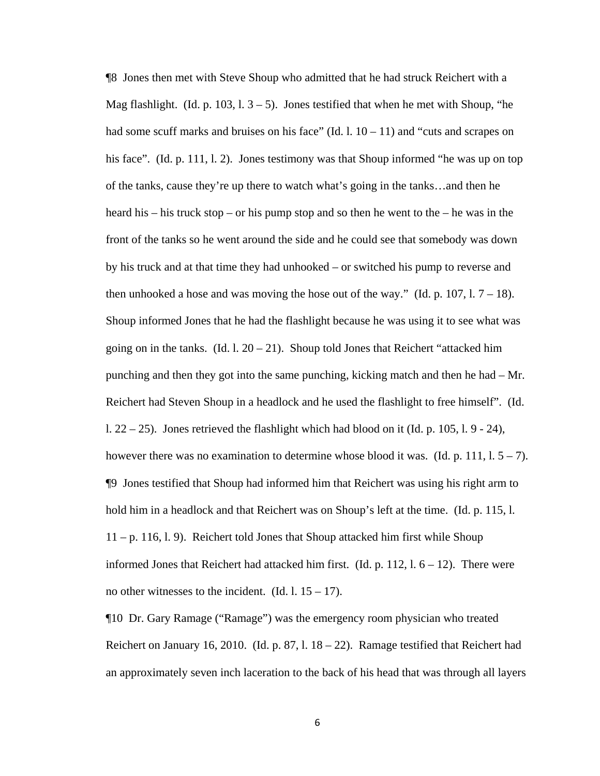¶8 Jones then met with Steve Shoup who admitted that he had struck Reichert with a Mag flashlight. (Id. p. 103, 1.  $3 - 5$ ). Jones testified that when he met with Shoup, "he had some scuff marks and bruises on his face" (Id. 1,  $10 - 11$ ) and "cuts and scrapes on his face". (Id. p. 111, l. 2). Jones testimony was that Shoup informed "he was up on top of the tanks, cause they're up there to watch what's going in the tanks…and then he heard his – his truck stop – or his pump stop and so then he went to the – he was in the front of the tanks so he went around the side and he could see that somebody was down by his truck and at that time they had unhooked – or switched his pump to reverse and then unhooked a hose and was moving the hose out of the way." (Id. p.  $107$ ,  $1.7 - 18$ ). Shoup informed Jones that he had the flashlight because he was using it to see what was going on in the tanks. (Id. 1.  $20 - 21$ ). Shoup told Jones that Reichert "attacked him punching and then they got into the same punching, kicking match and then he had – Mr. Reichert had Steven Shoup in a headlock and he used the flashlight to free himself". (Id. l.  $22 - 25$ ). Jones retrieved the flashlight which had blood on it (Id. p. 105, l. 9 - 24), however there was no examination to determine whose blood it was. (Id. p. 111,  $1.5 - 7$ ). ¶9 Jones testified that Shoup had informed him that Reichert was using his right arm to hold him in a headlock and that Reichert was on Shoup's left at the time. (Id. p. 115, l. 11 – p. 116, l. 9). Reichert told Jones that Shoup attacked him first while Shoup informed Jones that Reichert had attacked him first. (Id. p. 112,  $1.6 - 12$ ). There were no other witnesses to the incident. (Id. 1.  $15 - 17$ ).

¶10 Dr. Gary Ramage ("Ramage") was the emergency room physician who treated Reichert on January 16, 2010. (Id. p. 87, l.  $18 - 22$ ). Ramage testified that Reichert had an approximately seven inch laceration to the back of his head that was through all layers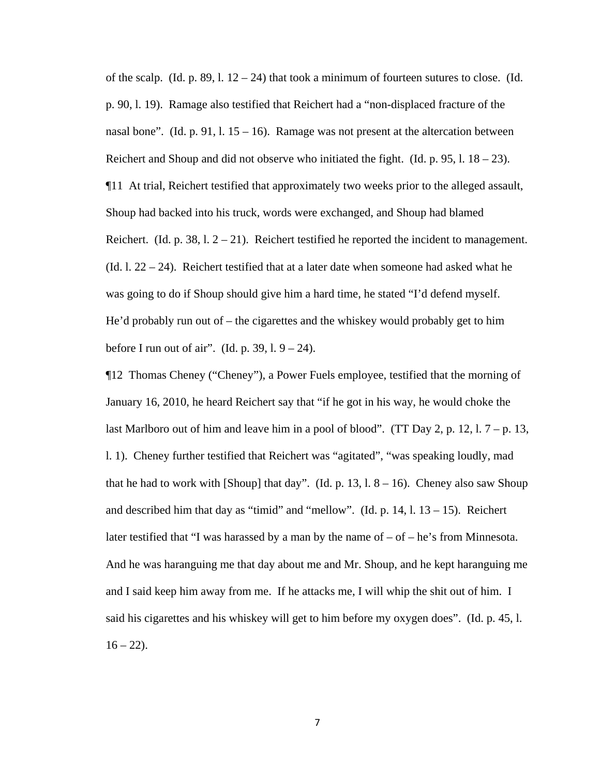of the scalp. (Id. p. 89, 1.  $12 - 24$ ) that took a minimum of fourteen sutures to close. (Id. p. 90, l. 19). Ramage also testified that Reichert had a "non-displaced fracture of the nasal bone". (Id. p. 91, l.  $15 - 16$ ). Ramage was not present at the altercation between Reichert and Shoup and did not observe who initiated the fight. (Id. p. 95, l.  $18 - 23$ ). ¶11 At trial, Reichert testified that approximately two weeks prior to the alleged assault, Shoup had backed into his truck, words were exchanged, and Shoup had blamed Reichert. (Id. p. 38, l.  $2 - 21$ ). Reichert testified he reported the incident to management. (Id. 1.  $22 - 24$ ). Reichert testified that at a later date when someone had asked what he was going to do if Shoup should give him a hard time, he stated "I'd defend myself. He'd probably run out of – the cigarettes and the whiskey would probably get to him before I run out of air". (Id. p. 39, l.  $9 - 24$ ).

¶12 Thomas Cheney ("Cheney"), a Power Fuels employee, testified that the morning of January 16, 2010, he heard Reichert say that "if he got in his way, he would choke the last Marlboro out of him and leave him in a pool of blood". (TT Day 2, p. 12, 1.  $7 - p$ , 13, l. 1). Cheney further testified that Reichert was "agitated", "was speaking loudly, mad that he had to work with [Shoup] that day". (Id. p.  $13, 1.8 - 16$ ). Cheney also saw Shoup and described him that day as "timid" and "mellow". (Id. p.  $14$ , l.  $13 - 15$ ). Reichert later testified that "I was harassed by a man by the name of  $-$  of  $-$  he's from Minnesota. And he was haranguing me that day about me and Mr. Shoup, and he kept haranguing me and I said keep him away from me. If he attacks me, I will whip the shit out of him. I said his cigarettes and his whiskey will get to him before my oxygen does". (Id. p. 45, l.  $16 - 22$ ).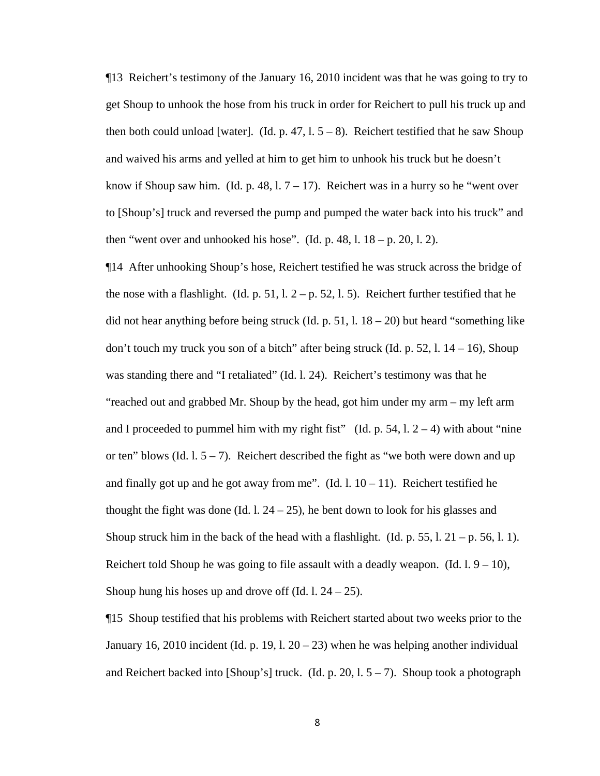¶13 Reichert's testimony of the January 16, 2010 incident was that he was going to try to get Shoup to unhook the hose from his truck in order for Reichert to pull his truck up and then both could unload [water]. (Id. p. 47,  $1.5 - 8$ ). Reichert testified that he saw Shoup and waived his arms and yelled at him to get him to unhook his truck but he doesn't know if Shoup saw him. (Id. p. 48, 1.  $7 - 17$ ). Reichert was in a hurry so he "went over to [Shoup's] truck and reversed the pump and pumped the water back into his truck" and then "went over and unhooked his hose". (Id. p. 48, l.  $18 - p$ . 20, l. 2).

¶14 After unhooking Shoup's hose, Reichert testified he was struck across the bridge of the nose with a flashlight. (Id. p. 51, l.  $2 - p$ , 52, l. 5). Reichert further testified that he did not hear anything before being struck (Id. p. 51, 1.  $18 - 20$ ) but heard "something like don't touch my truck you son of a bitch" after being struck (Id. p. 52, l. 14 – 16), Shoup was standing there and "I retaliated" (Id. l. 24). Reichert's testimony was that he "reached out and grabbed Mr. Shoup by the head, got him under my arm – my left arm and I proceeded to pummel him with my right fist" (Id. p. 54, l.  $2 - 4$ ) with about "nine or ten" blows (Id. 1.  $5 - 7$ ). Reichert described the fight as "we both were down and up and finally got up and he got away from me". (Id. 1.  $10 - 11$ ). Reichert testified he thought the fight was done (Id. 1,  $24 - 25$ ), he bent down to look for his glasses and Shoup struck him in the back of the head with a flashlight. (Id. p. 55, l.  $21 - p$ . 56, l. 1). Reichert told Shoup he was going to file assault with a deadly weapon. (Id.  $1.9 - 10$ ), Shoup hung his hoses up and drove off  $Id. 1. 24 - 25$ .

¶15 Shoup testified that his problems with Reichert started about two weeks prior to the January 16, 2010 incident (Id. p. 19, l.  $20 - 23$ ) when he was helping another individual and Reichert backed into [Shoup's] truck. (Id. p. 20, 1.  $5 - 7$ ). Shoup took a photograph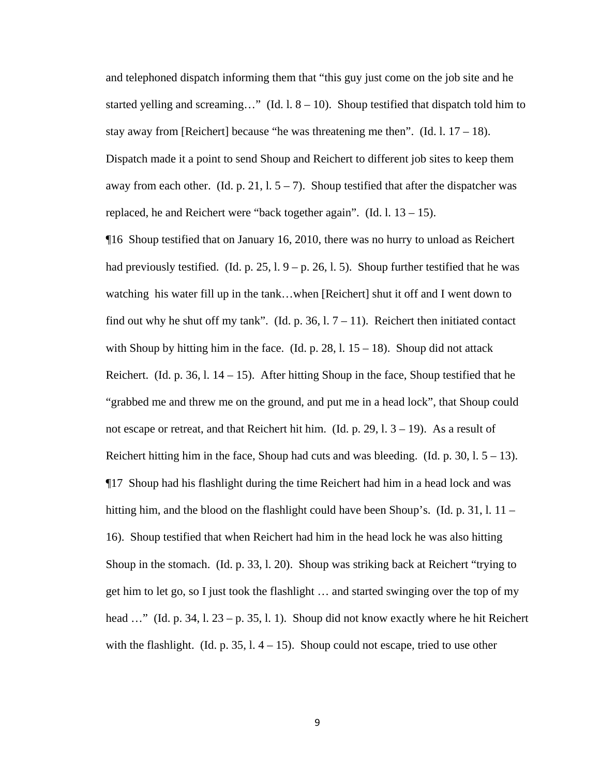and telephoned dispatch informing them that "this guy just come on the job site and he started yelling and screaming…" (Id.  $1.8 - 10$ ). Shoup testified that dispatch told him to stay away from [Reichert] because "he was threatening me then". (Id. 1.  $17 - 18$ ). Dispatch made it a point to send Shoup and Reichert to different job sites to keep them away from each other. (Id. p. 21, 1,  $5 - 7$ ). Shoup testified that after the dispatcher was replaced, he and Reichert were "back together again". (Id.  $1.13 - 15$ ).

¶16 Shoup testified that on January 16, 2010, there was no hurry to unload as Reichert had previously testified. (Id. p. 25, l.  $9 - p$ . 26, l. 5). Shoup further testified that he was watching his water fill up in the tank…when [Reichert] shut it off and I went down to find out why he shut off my tank". (Id. p. 36, 1.  $7 - 11$ ). Reichert then initiated contact with Shoup by hitting him in the face. (Id. p. 28, 1.  $15 - 18$ ). Shoup did not attack Reichert. (Id. p. 36, l.  $14 - 15$ ). After hitting Shoup in the face, Shoup testified that he "grabbed me and threw me on the ground, and put me in a head lock", that Shoup could not escape or retreat, and that Reichert hit him. (Id. p. 29,  $1.3 - 19$ ). As a result of Reichert hitting him in the face, Shoup had cuts and was bleeding. (Id. p. 30, l.  $5 - 13$ ). ¶17 Shoup had his flashlight during the time Reichert had him in a head lock and was hitting him, and the blood on the flashlight could have been Shoup's. (Id. p. 31, l. 11 – 16). Shoup testified that when Reichert had him in the head lock he was also hitting Shoup in the stomach. (Id. p. 33, l. 20). Shoup was striking back at Reichert "trying to get him to let go, so I just took the flashlight … and started swinging over the top of my head  $\ldots$ " (Id. p. 34, l. 23 – p. 35, l. 1). Shoup did not know exactly where he hit Reichert with the flashlight. (Id. p. 35,  $1.4 - 15$ ). Shoup could not escape, tried to use other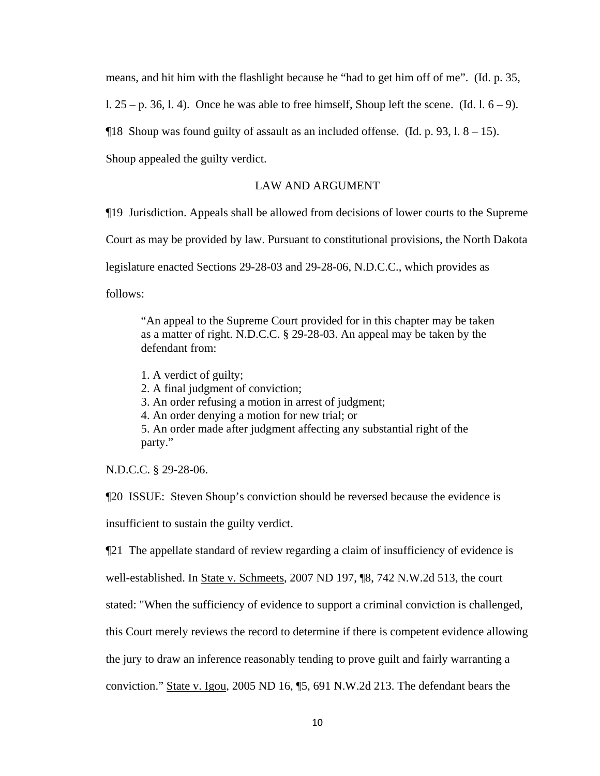means, and hit him with the flashlight because he "had to get him off of me". (Id. p. 35,

l.  $25 - p$ . 36, l. 4). Once he was able to free himself, Shoup left the scene. (Id. 1.  $6 - 9$ ).

 $\P$ 18 Shoup was found guilty of assault as an included offense. (Id. p. 93, 1, 8 – 15).

Shoup appealed the guilty verdict.

### LAW AND ARGUMENT

¶19 Jurisdiction. Appeals shall be allowed from decisions of lower courts to the Supreme

Court as may be provided by law. Pursuant to constitutional provisions, the North Dakota

legislature enacted Sections 29-28-03 and 29-28-06, N.D.C.C., which provides as

follows:

"An appeal to the Supreme Court provided for in this chapter may be taken as a matter of right. N.D.C.C. § 29-28-03. An appeal may be taken by the defendant from:

1. A verdict of guilty;

2. A final judgment of conviction;

3. An order refusing a motion in arrest of judgment;

4. An order denying a motion for new trial; or

5. An order made after judgment affecting any substantial right of the party."

N.D.C.C. § 29-28-06.

¶20 ISSUE: Steven Shoup's conviction should be reversed because the evidence is insufficient to sustain the guilty verdict.

¶21 The appellate standard of review regarding a claim of insufficiency of evidence is

well-established. In State v. Schmeets, 2007 ND 197, ¶8, 742 N.W.2d 513, the court

stated: "When the sufficiency of evidence to support a criminal conviction is challenged,

this Court merely reviews the record to determine if there is competent evidence allowing

the jury to draw an inference reasonably tending to prove guilt and fairly warranting a

conviction." State v. Igou, 2005 ND 16, ¶5, 691 N.W.2d 213. The defendant bears the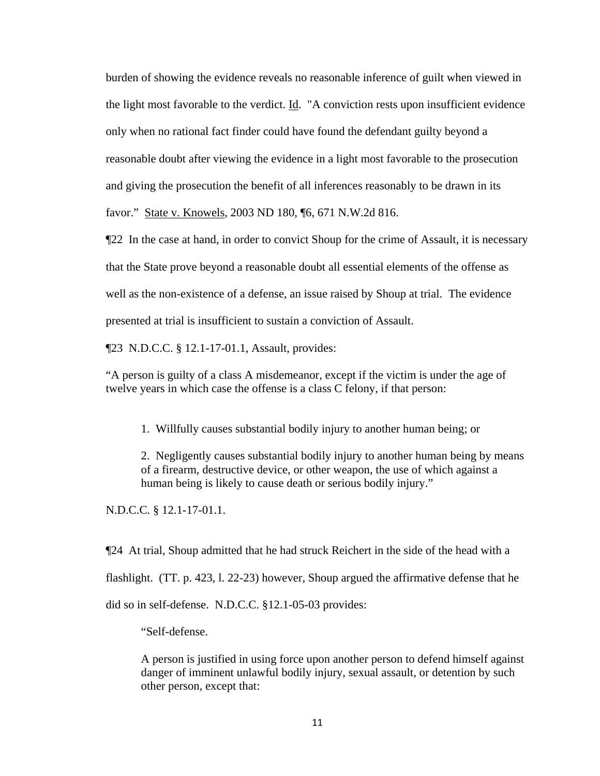burden of showing the evidence reveals no reasonable inference of guilt when viewed in the light most favorable to the verdict. Id. "A conviction rests upon insufficient evidence only when no rational fact finder could have found the defendant guilty beyond a reasonable doubt after viewing the evidence in a light most favorable to the prosecution and giving the prosecution the benefit of all inferences reasonably to be drawn in its favor." State v. Knowels, 2003 ND 180, ¶6, 671 N.W.2d 816.

¶22 In the case at hand, in order to convict Shoup for the crime of Assault, it is necessary that the State prove beyond a reasonable doubt all essential elements of the offense as well as the non-existence of a defense, an issue raised by Shoup at trial. The evidence presented at trial is insufficient to sustain a conviction of Assault.

¶23 N.D.C.C. § 12.1-17-01.1, Assault, provides:

"A person is guilty of a class A misdemeanor, except if the victim is under the age of twelve years in which case the offense is a class C felony, if that person:

1. Willfully causes substantial bodily injury to another human being; or

2. Negligently causes substantial bodily injury to another human being by means of a firearm, destructive device, or other weapon, the use of which against a human being is likely to cause death or serious bodily injury."

N.D.C.C. § 12.1-17-01.1.

¶24 At trial, Shoup admitted that he had struck Reichert in the side of the head with a flashlight. (TT. p. 423, l. 22-23) however, Shoup argued the affirmative defense that he did so in self-defense. N.D.C.C. §12.1-05-03 provides:

"Self-defense.

A person is justified in using force upon another person to defend himself against danger of imminent unlawful bodily injury, sexual assault, or detention by such other person, except that: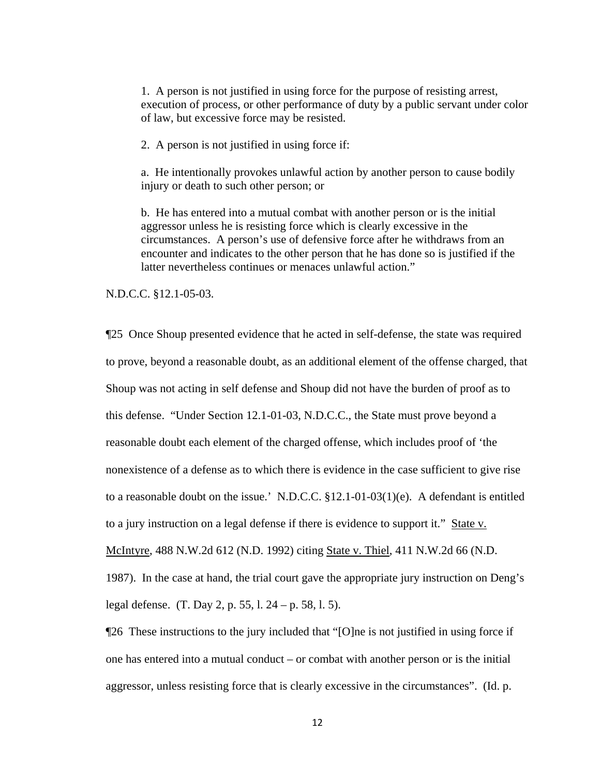1. A person is not justified in using force for the purpose of resisting arrest, execution of process, or other performance of duty by a public servant under color of law, but excessive force may be resisted.

2. A person is not justified in using force if:

a. He intentionally provokes unlawful action by another person to cause bodily injury or death to such other person; or

b. He has entered into a mutual combat with another person or is the initial aggressor unless he is resisting force which is clearly excessive in the circumstances. A person's use of defensive force after he withdraws from an encounter and indicates to the other person that he has done so is justified if the latter nevertheless continues or menaces unlawful action."

N.D.C.C. §12.1-05-03.

¶25 Once Shoup presented evidence that he acted in self-defense, the state was required to prove, beyond a reasonable doubt, as an additional element of the offense charged, that Shoup was not acting in self defense and Shoup did not have the burden of proof as to this defense. "Under Section 12.1-01-03, N.D.C.C., the State must prove beyond a reasonable doubt each element of the charged offense, which includes proof of 'the nonexistence of a defense as to which there is evidence in the case sufficient to give rise to a reasonable doubt on the issue.' N.D.C.C. §12.1-01-03(1)(e). A defendant is entitled to a jury instruction on a legal defense if there is evidence to support it." State v. McIntyre, 488 N.W.2d 612 (N.D. 1992) citing State v. Thiel, 411 N.W.2d 66 (N.D. 1987). In the case at hand, the trial court gave the appropriate jury instruction on Deng's legal defense. (T. Day 2, p. 55, l. 24 – p. 58, l. 5).

¶26 These instructions to the jury included that "[O]ne is not justified in using force if one has entered into a mutual conduct – or combat with another person or is the initial aggressor, unless resisting force that is clearly excessive in the circumstances". (Id. p.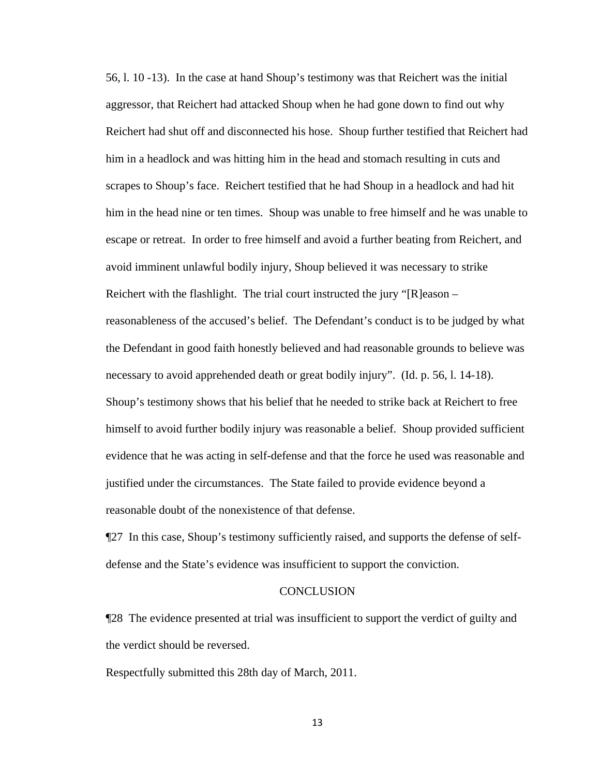56, l. 10 -13). In the case at hand Shoup's testimony was that Reichert was the initial aggressor, that Reichert had attacked Shoup when he had gone down to find out why Reichert had shut off and disconnected his hose. Shoup further testified that Reichert had him in a headlock and was hitting him in the head and stomach resulting in cuts and scrapes to Shoup's face. Reichert testified that he had Shoup in a headlock and had hit him in the head nine or ten times. Shoup was unable to free himself and he was unable to escape or retreat. In order to free himself and avoid a further beating from Reichert, and avoid imminent unlawful bodily injury, Shoup believed it was necessary to strike Reichert with the flashlight. The trial court instructed the jury "[R]eason – reasonableness of the accused's belief. The Defendant's conduct is to be judged by what the Defendant in good faith honestly believed and had reasonable grounds to believe was necessary to avoid apprehended death or great bodily injury". (Id. p. 56, l. 14-18). Shoup's testimony shows that his belief that he needed to strike back at Reichert to free himself to avoid further bodily injury was reasonable a belief. Shoup provided sufficient evidence that he was acting in self-defense and that the force he used was reasonable and justified under the circumstances. The State failed to provide evidence beyond a reasonable doubt of the nonexistence of that defense.

¶27 In this case, Shoup's testimony sufficiently raised, and supports the defense of selfdefense and the State's evidence was insufficient to support the conviction.

#### **CONCLUSION**

¶28 The evidence presented at trial was insufficient to support the verdict of guilty and the verdict should be reversed.

Respectfully submitted this 28th day of March, 2011.

13